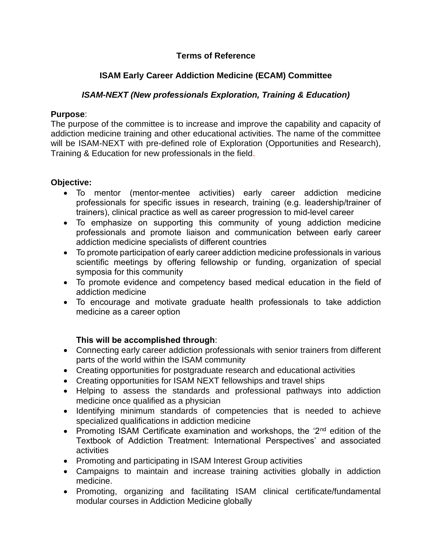### **Terms of Reference**

## **ISAM Early Career Addiction Medicine (ECAM) Committee**

### *ISAM-NEXT (New professionals Exploration, Training & Education)*

### **Purpose**:

The purpose of the committee is to increase and improve the capability and capacity of addiction medicine training and other educational activities. The name of the committee will be ISAM-NEXT with pre-defined role of Exploration (Opportunities and Research), Training & Education for new professionals in the field.

### **Objective:**

- To mentor (mentor-mentee activities) early career addiction medicine professionals for specific issues in research, training (e.g. leadership/trainer of trainers), clinical practice as well as career progression to mid-level career
- To emphasize on supporting this community of young addiction medicine professionals and promote liaison and communication between early career addiction medicine specialists of different countries
- To promote participation of early career addiction medicine professionals in various scientific meetings by offering fellowship or funding, organization of special symposia for this community
- To promote evidence and competency based medical education in the field of addiction medicine
- To encourage and motivate graduate health professionals to take addiction medicine as a career option

### **This will be accomplished through**:

- Connecting early career addiction professionals with senior trainers from different parts of the world within the ISAM community
- Creating opportunities for postgraduate research and educational activities
- Creating opportunities for ISAM NEXT fellowships and travel ships
- Helping to assess the standards and professional pathways into addiction medicine once qualified as a physician
- Identifying minimum standards of competencies that is needed to achieve specialized qualifications in addiction medicine
- Promoting ISAM Certificate examination and workshops, the '2<sup>nd</sup> edition of the Textbook of Addiction Treatment: International Perspectives' and associated activities
- Promoting and participating in ISAM Interest Group activities
- Campaigns to maintain and increase training activities globally in addiction medicine.
- Promoting, organizing and facilitating ISAM clinical certificate/fundamental modular courses in Addiction Medicine globally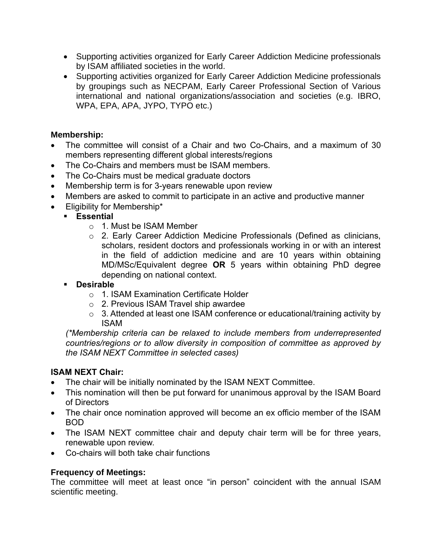- Supporting activities organized for Early Career Addiction Medicine professionals by ISAM affiliated societies in the world.
- Supporting activities organized for Early Career Addiction Medicine professionals by groupings such as NECPAM, Early Career Professional Section of Various international and national organizations/association and societies (e.g. IBRO, WPA, EPA, APA, JYPO, TYPO etc.)

### **Membership:**

- The committee will consist of a Chair and two Co-Chairs, and a maximum of 30 members representing different global interests/regions
- The Co-Chairs and members must be ISAM members.
- The Co-Chairs must be medical graduate doctors
- Membership term is for 3-years renewable upon review
- Members are asked to commit to participate in an active and productive manner
- Eligibility for Membership\*
	- **Essential**
		- o 1. Must be ISAM Member
		- o 2. Early Career Addiction Medicine Professionals (Defined as clinicians, scholars, resident doctors and professionals working in or with an interest in the field of addiction medicine and are 10 years within obtaining MD/MSc/Equivalent degree **OR** 5 years within obtaining PhD degree depending on national context.

### **Desirable**

- o 1. ISAM Examination Certificate Holder
- o 2. Previous ISAM Travel ship awardee
- o 3. Attended at least one ISAM conference or educational/training activity by ISAM

*(\*Membership criteria can be relaxed to include members from underrepresented countries/regions or to allow diversity in composition of committee as approved by the ISAM NEXT Committee in selected cases)*

### **ISAM NEXT Chair:**

- The chair will be initially nominated by the ISAM NEXT Committee.
- This nomination will then be put forward for unanimous approval by the ISAM Board of Directors
- The chair once nomination approved will become an ex officio member of the ISAM BOD
- The ISAM NEXT committee chair and deputy chair term will be for three years, renewable upon review.
- Co-chairs will both take chair functions

### **Frequency of Meetings:**

The committee will meet at least once "in person" coincident with the annual ISAM scientific meeting.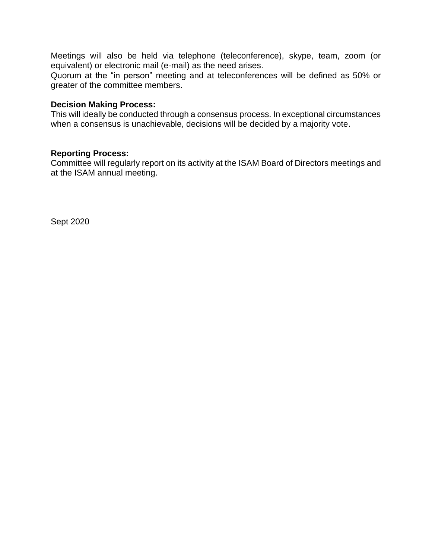Meetings will also be held via telephone (teleconference), skype, team, zoom (or equivalent) or electronic mail (e-mail) as the need arises.

Quorum at the "in person" meeting and at teleconferences will be defined as 50% or greater of the committee members.

#### **Decision Making Process:**

This will ideally be conducted through a consensus process. In exceptional circumstances when a consensus is unachievable, decisions will be decided by a majority vote.

#### **Reporting Process:**

Committee will regularly report on its activity at the ISAM Board of Directors meetings and at the ISAM annual meeting.

Sept 2020